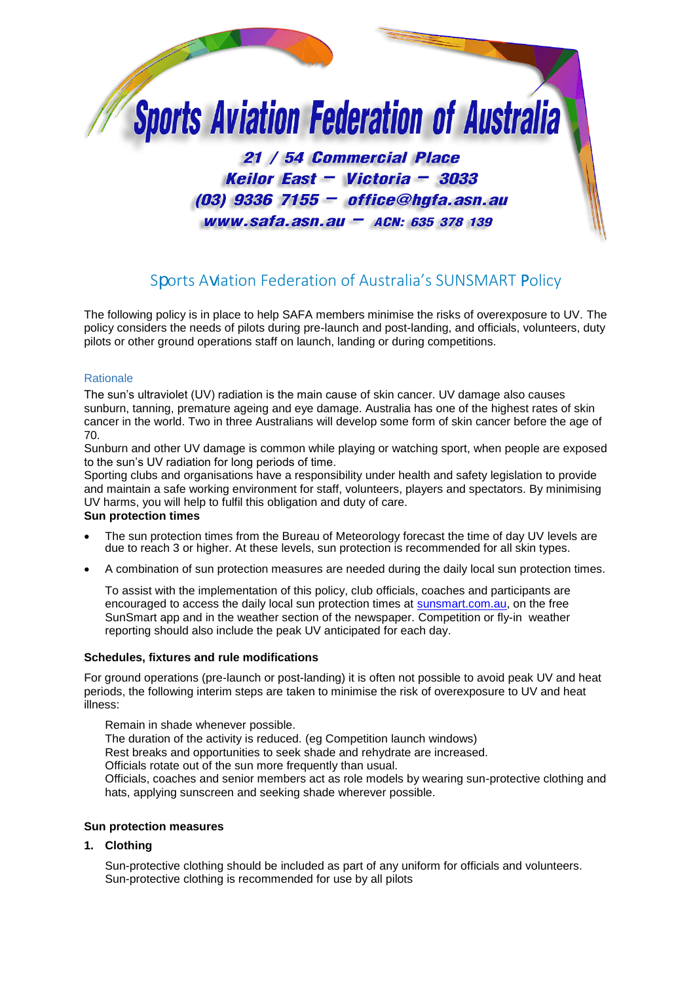

# Sports Aviation Federation of Australia's SUNSMART Policy

The following policy is in place to help SAFA members minimise the risks of overexposure to UV. The policy considers the needs of pilots during pre-launch and post-landing, and officials, volunteers, duty pilots or other ground operations staff on launch, landing or during competitions.

## **Rationale**

The sun's ultraviolet (UV) radiation is the main cause of skin cancer. UV damage also causes sunburn, tanning, premature ageing and eye damage. Australia has one of the highest rates of skin cancer in the world. Two in three Australians will develop some form of skin cancer before the age of 70.

Sunburn and other UV damage is common while playing or watching sport, when people are exposed to the sun's UV radiation for long periods of time.

Sporting clubs and organisations have a responsibility under health and safety legislation to provide and maintain a safe working environment for staff, volunteers, players and spectators. By minimising UV harms, you will help to fulfil this obligation and duty of care.

### **Sun protection times**

- The sun protection times from the Bureau of Meteorology forecast the time of day UV levels are due to reach 3 or higher. At these levels, sun protection is recommended for all skin types.
- A combination of sun protection measures are needed during the daily local sun protection times.

To assist with the implementation of this policy, club officials, coaches and participants are encouraged to access the daily local sun protection times at sunsmart.com.au, on the free SunSmart app and in the weather section of the newspaper. Competition or fly-in weather reporting should also include the peak UV anticipated for each day.

### **Schedules, fixtures and rule modifications**

For ground operations (pre-launch or post-landing) it is often not possible to avoid peak UV and heat periods, the following interim steps are taken to minimise the risk of overexposure to UV and heat illness:

Remain in shade whenever possible. The duration of the activity is reduced. (eg Competition launch windows) Rest breaks and opportunities to seek shade and rehydrate are increased. Officials rotate out of the sun more frequently than usual. Officials, coaches and senior members act as role models by wearing sun-protective clothing and hats, applying sunscreen and seeking shade wherever possible.

### **Sun protection measures**

**1. Clothing** 

Sun-protective clothing should be included as part of any uniform for officials and volunteers. Sun-protective clothing is recommended for use by all pilots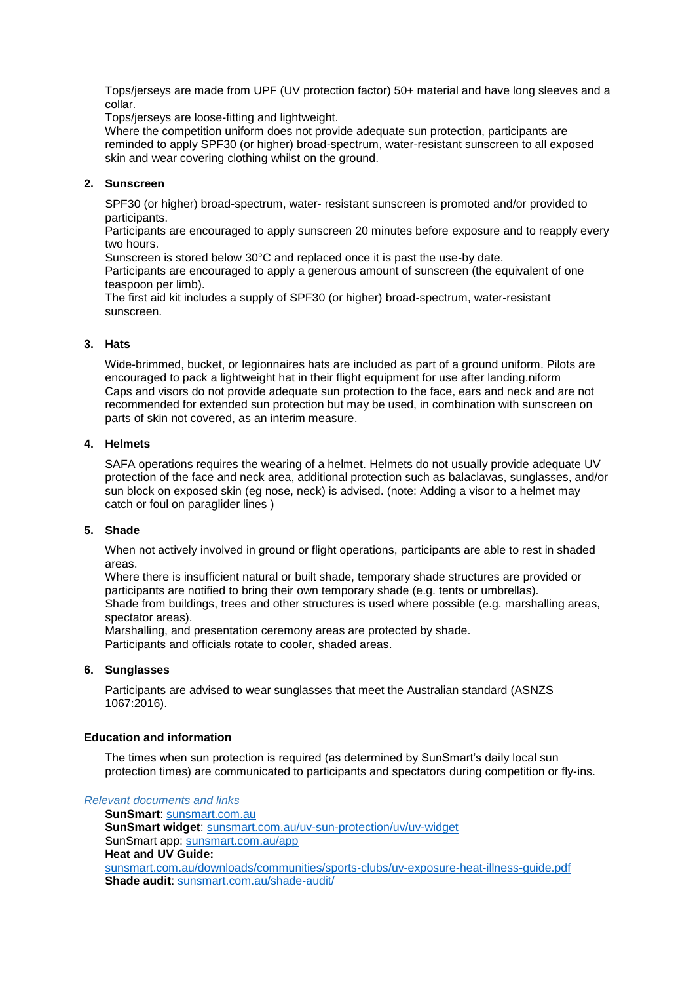Tops/jerseys are made from UPF (UV protection factor) 50+ material and have long sleeves and a collar.

Tops/jerseys are loose-fitting and lightweight.

Where the competition uniform does not provide adequate sun protection, participants are reminded to apply SPF30 (or higher) broad-spectrum, water-resistant sunscreen to all exposed skin and wear covering clothing whilst on the ground.

## **2. Sunscreen**

SPF30 (or higher) broad-spectrum, water- resistant sunscreen is promoted and/or provided to participants.

Participants are encouraged to apply sunscreen 20 minutes before exposure and to reapply every two hours.

Sunscreen is stored below 30°C and replaced once it is past the use-by date.

Participants are encouraged to apply a generous amount of sunscreen (the equivalent of one teaspoon per limb).

The first aid kit includes a supply of SPF30 (or higher) broad-spectrum, water-resistant sunscreen.

## **3. Hats**

Wide-brimmed, bucket, or legionnaires hats are included as part of a ground uniform. Pilots are encouraged to pack a lightweight hat in their flight equipment for use after landing.niform Caps and visors do not provide adequate sun protection to the face, ears and neck and are not recommended for extended sun protection but may be used, in combination with sunscreen on parts of skin not covered, as an interim measure.

## **4. Helmets**

SAFA operations requires the wearing of a helmet. Helmets do not usually provide adequate UV protection of the face and neck area, additional protection such as balaclavas, sunglasses, and/or sun block on exposed skin (eg nose, neck) is advised. (note: Adding a visor to a helmet may catch or foul on paraglider lines )

# **5. Shade**

When not actively involved in ground or flight operations, participants are able to rest in shaded areas.

Where there is insufficient natural or built shade, temporary shade structures are provided or participants are notified to bring their own temporary shade (e.g. tents or umbrellas). Shade from buildings, trees and other structures is used where possible (e.g. marshalling areas, spectator areas).

Marshalling, and presentation ceremony areas are protected by shade. Participants and officials rotate to cooler, shaded areas.

### **6. Sunglasses**

Participants are advised to wear sunglasses that meet the Australian standard (ASNZS 1067:2016).

### **Education and information**

The times when sun protection is required (as determined by SunSmart's daily local sun protection times) are communicated to participants and spectators during competition or fly-ins.

*Relevant documents and links*

**SunSmart**: [sunsmart.com.au](http://www.sunsmart.com.au/) **SunSmart widget**: [sunsmart.com.au/uv-sun-protection/uv/uv-widget](file:///C:/Users/josborne/AppData/Local/Microsoft/Windows/Temporary%20Internet%20Files/Content.Outlook/AppData/Local/Microsoft/Windows/Temporary%20Internet%20Files/Content.Outlook/AppData/Local/Microsoft/Windows/Temporary%20Internet%20Files/Content.Outlook/AppData/Local/Microsoft/Windows/Temporary%20Internet%20Files/Content.Outlook/LQL5154T/sunsmart.com.au/uv-sun-protection/uv/uv-widget) [SunSmart app:](http://www.sunsmart.com.au/resources/sunsmart-app) [sunsmart.com.au/app](http://www.sunsmart.com.au/app) **Heat and UV Guide:** [sunsmart.com.au/downloads/communities/sports-clubs/uv-exposure-heat-illness-guide.pdf](http://www.sunsmart.com.au/downloads/communities/sports-clubs/uv-exposure-heat-illness-guide.pdf) **Shade audit**: sunsmart.com.au/shade-audit/